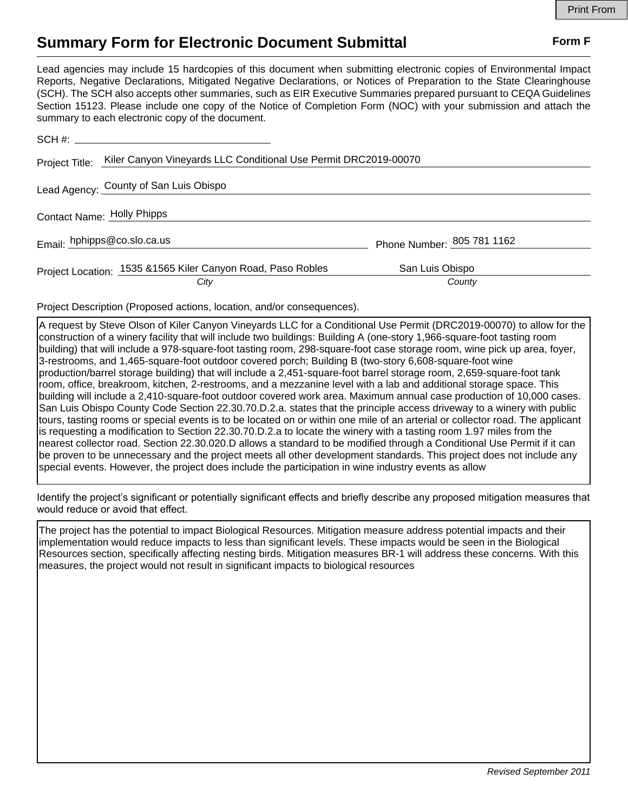## **Summary Form for Electronic Document Submittal Form F Form F**

Lead agencies may include 15 hardcopies of this document when submitting electronic copies of Environmental Impact Reports, Negative Declarations, Mitigated Negative Declarations, or Notices of Preparation to the State Clearinghouse (SCH). The SCH also accepts other summaries, such as EIR Executive Summaries prepared pursuant to CEQA Guidelines Section 15123. Please include one copy of the Notice of Completion Form (NOC) with your submission and attach the summary to each electronic copy of the document.

| Lead Agency: County of San Luis Obispo                      |                            |                                                                           |
|-------------------------------------------------------------|----------------------------|---------------------------------------------------------------------------|
| Contact Name: Holly Phipps                                  |                            |                                                                           |
| Email: hphipps@co.slo.ca.us                                 | Phone Number: 805 781 1162 |                                                                           |
| Project Location: 1535 &1565 Kiler Canyon Road, Paso Robles | San Luis Obispo            |                                                                           |
|                                                             | City                       | Kiler Canyon Vineyards LLC Conditional Use Permit DRC2019-00070<br>County |

Project Description (Proposed actions, location, and/or consequences).

A request by Steve Olson of Kiler Canyon Vineyards LLC for a Conditional Use Permit (DRC2019-00070) to allow for the construction of a winery facility that will include two buildings: Building A (one-story 1,966-square-foot tasting room building) that will include a 978-square-foot tasting room, 298-square-foot case storage room, wine pick up area, foyer, 3-restrooms, and 1,465-square-foot outdoor covered porch; Building B (two-story 6,608-square-foot wine production/barrel storage building) that will include a 2,451-square-foot barrel storage room, 2,659-square-foot tank room, office, breakroom, kitchen, 2-restrooms, and a mezzanine level with a lab and additional storage space. This building will include a 2,410-square-foot outdoor covered work area. Maximum annual case production of 10,000 cases. San Luis Obispo County Code Section 22.30.70.D.2.a. states that the principle access driveway to a winery with public tours, tasting rooms or special events is to be located on or within one mile of an arterial or collector road. The applicant is requesting a modification to Section 22.30.70.D.2.a to locate the winery with a tasting room 1.97 miles from the nearest collector road. Section 22.30.020.D allows a standard to be modified through a Conditional Use Permit if it can be proven to be unnecessary and the project meets all other development standards. This project does not include any special events. However, the project does include the participation in wine industry events as allow

Identify the project's significant or potentially significant effects and briefly describe any proposed mitigation measures that would reduce or avoid that effect.

The project has the potential to impact Biological Resources. Mitigation measure address potential impacts and their implementation would reduce impacts to less than significant levels. These impacts would be seen in the Biological Resources section, specifically affecting nesting birds. Mitigation measures BR-1 will address these concerns. With this measures, the project would not result in significant impacts to biological resources